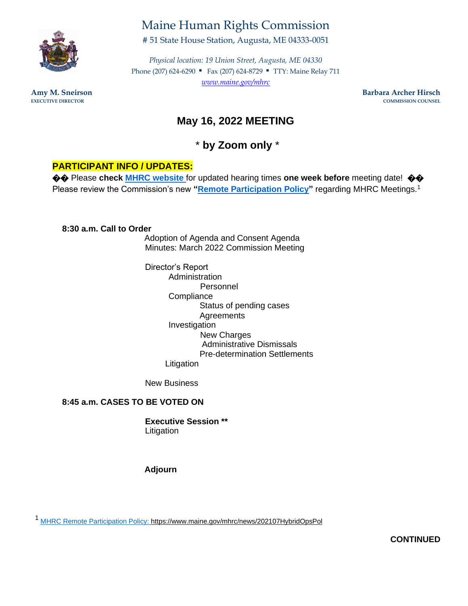

# Maine Human Rights Commission

# 51 State House Station, Augusta, ME 04333-0051

*Physical location: 19 Union Street, Augusta, ME 04330*  Phone (207) 624-6290 ■ Fax (207) 624-8729 ■ TTY: Maine Relay 711 *[www.maine.gov/mhrc](http://www.maine.gov/mhrc)*

**Amy M. Sneirson Barbara Archer Hirsch EXECUTIVE DIRECTOR COMMISSION COUNSEL** 

# **May 16, 2022 MEETING**

\* **by Zoom only** \*

# **PARTICIPANT INFO / UPDATES:**

**♦♦** Please check MHRC website for updated hearing times one week before meeting date! ♦♦ Please review the Commission's new **"Remote Participation Policy"** regarding MHRC Meetings.<sup>1</sup>

#### **8:30 a.m. Call to Order**

Adoption of Agenda and Consent Agenda Minutes: March 2022 Commission Meeting

Director's Report Administration Personnel **Compliance** Status of pending cases **Agreements** Investigation New Charges Administrative Dismissals Pre-determination Settlements Litigation

New Business

### **8:45 a.m. CASES TO BE VOTED ON**

**Executive Session \*\***  Litigation

**Adjourn** 

<sup>1</sup>MHRC Remote Participation Policy: https://www.maine.gov/mhrc/news/202107HybridOpsPol

**CONTINUED**